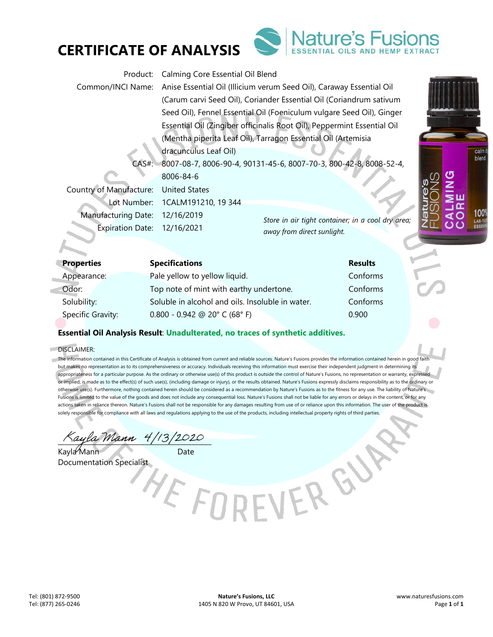



| Product:                    | Calming Core Essential Oil Blend                                        |                                                   |  |
|-----------------------------|-------------------------------------------------------------------------|---------------------------------------------------|--|
| Common/INCI Name:           | Anise Essential Oil (Illicium verum Seed Oil), Caraway Essential Oil    |                                                   |  |
|                             | (Carum carvi Seed Oil), Coriander Essential Oil (Coriandrum sativum     |                                                   |  |
|                             | Seed Oil), Fennel Essential Oil (Foeniculum vulgare Seed Oil), Ginger   |                                                   |  |
|                             | Essential Oil (Zingiber officinalis Root Oil), Peppermint Essential Oil |                                                   |  |
|                             | (Mentha piperita Leaf Oil), Tarragon Essential Oil (Artemisia           |                                                   |  |
|                             | dracunculus Leaf Oil)                                                   |                                                   |  |
| $CAS#$ :                    | 8007-08-7, 8006-90-4, 90131-45-6, 8007-70-3, 800-42-8, 8008-52-4,       |                                                   |  |
|                             | 8006-84-6                                                               |                                                   |  |
| Country of Manufacture:     | <b>United States</b>                                                    |                                                   |  |
| Lot Number:                 | 1CALM191210, 19 344                                                     |                                                   |  |
| <b>Manufacturing Date:</b>  | 12/16/2019                                                              | Store in air tight container; in a cool dry area; |  |
| Expiration Date: 12/16/2021 |                                                                         | away from direct sunlight.                        |  |

| <b>Properties</b> | <b>Specifications</b>                            | <b>Results</b> |
|-------------------|--------------------------------------------------|----------------|
| Appearance:       | Pale yellow to yellow liquid.                    | Conforms       |
| Odor:             | Top note of mint with earthy undertone.          | Conforms       |
| Solubility:       | Soluble in alcohol and oils. Insoluble in water. | Conforms       |
| Specific Gravity: | $0.800 - 0.942$ @ 20° C (68° F)                  | 0.900          |

## **Essential Oil Analysis Result**: **Unadulterated, no traces of synthetic additives.**

#### DISCLAIMER:

a)

The information contained in this Certificate of Analysis is obtained from current and reliable sources. Nature's Fusions provides the information contained herein in good faith but makes no representation as to its comprehensiveness or accuracy. Individuals receiving this information must exercise their independent judgment in determining its appropriateness for a particular purpose. As the ordinary or otherwise use(s) of this product is outside the control of Nature's Fusions, no representation or warranty, expressed or implied, is made as to the effect(s) of such use(s), (including damage or injury), or the results obtained. Nature's Fusions expressly disclaims responsibility as to the ordinary or otherwise use(s). Furthermore, nothing contained herein should be considered as a recommendation by Nature's Fusions as to the fitness for any use. The liability of Nature's Fusions is limited to the value of the goods and does not include any consequential loss. Nature's Fusions shall not be liable for any errors or delays in the content, or for any actions taken in reliance thereon. Nature's Fusions shall not be responsible for any damages resulting from use of or reliance upon this information. The user of the product is solely responsible for compliance with all laws and regulations applying to the use of the products, including intellectual property rights of third parties.

EVERGY

Kayla Mann 4/13/2020

Kayla Mann Date Documentation Specialist

calm blend

1009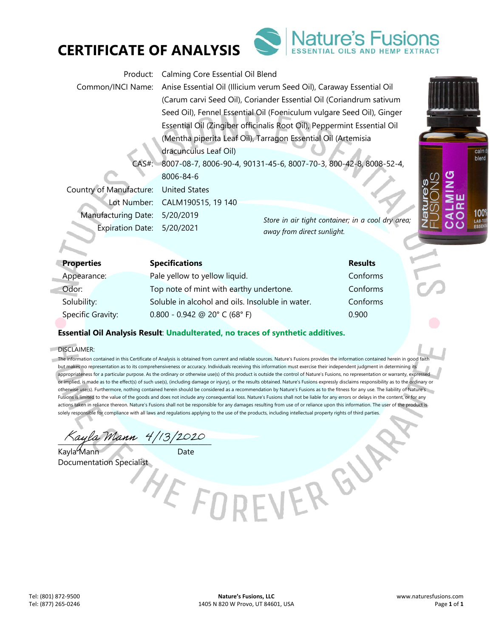



| Product:                   | Calming Core Essential Oil Blend                                                       |                                                   |  |
|----------------------------|----------------------------------------------------------------------------------------|---------------------------------------------------|--|
|                            | Common/INCI Name: Anise Essential Oil (Illicium verum Seed Oil), Caraway Essential Oil |                                                   |  |
|                            | (Carum carvi Seed Oil), Coriander Essential Oil (Coriandrum sativum                    |                                                   |  |
|                            | Seed Oil), Fennel Essential Oil (Foeniculum vulgare Seed Oil), Ginger                  |                                                   |  |
|                            | Essential Oil (Zingiber officinalis Root Oil), Peppermint Essential Oil                |                                                   |  |
|                            | (Mentha piperita Leaf Oil), Tarragon Essential Oil (Artemisia                          |                                                   |  |
|                            | dracunculus Leaf Oil)                                                                  |                                                   |  |
| $CAS#$ :                   | 8007-08-7, 8006-90-4, 90131-45-6, 8007-70-3, 800-42-8, 8008-52-4,                      |                                                   |  |
|                            | 8006-84-6                                                                              |                                                   |  |
| Country of Manufacture:    | United States                                                                          |                                                   |  |
|                            | Lot Number: CALM190515, 19 140                                                         |                                                   |  |
| <b>Manufacturing Date:</b> | 5/20/2019                                                                              | Store in air tight container; in a cool dry area; |  |
| Expiration Date: 5/20/2021 |                                                                                        | away from direct sunlight.                        |  |

| <b>Properties</b> | <b>Specifications</b>                            | <b>Results</b> |
|-------------------|--------------------------------------------------|----------------|
| Appearance:       | Pale yellow to yellow liquid.                    | Conforms       |
| Odor:             | Top note of mint with earthy undertone.          | Conforms       |
| Solubility:       | Soluble in alcohol and oils. Insoluble in water. | Conforms       |
| Specific Gravity: | $0.800 - 0.942$ @ 20° C (68° F)                  | 0.900          |

## **Essential Oil Analysis Result**: **Unadulterated, no traces of synthetic additives.**

#### DISCLAIMER:

m  $\mathcal{L}$ 

> The information contained in this Certificate of Analysis is obtained from current and reliable sources. Nature's Fusions provides the information contained herein in good faith but makes no representation as to its comprehensiveness or accuracy. Individuals receiving this information must exercise their independent judgment in determining its appropriateness for a particular purpose. As the ordinary or otherwise use(s) of this product is outside the control of Nature's Fusions, no representation or warranty, expressed or implied, is made as to the effect(s) of such use(s), (including damage or injury), or the results obtained. Nature's Fusions expressly disclaims responsibility as to the ordinary or otherwise use(s). Furthermore, nothing contained herein should be considered as a recommendation by Nature's Fusions as to the fitness for any use. The liability of Nature's Fusions is limited to the value of the goods and does not include any consequential loss. Nature's Fusions shall not be liable for any errors or delays in the content, or for any actions taken in reliance thereon. Nature's Fusions shall not be responsible for any damages resulting from use of or reliance upon this information. The user of the product is solely responsible for compliance with all laws and regulations applying to the use of the products, including intellectual property rights of third parties.

> > EVERGY

Kayla Mann 4/13/2020

Kayla Mann Date

Documentation Specialist

calm blend

1009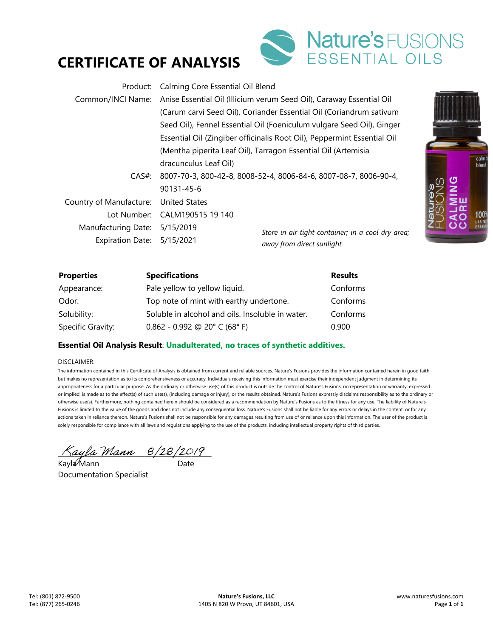# **CERTIFICATE OF ANALYSIS**



| Product:                   | Calming Core Essential Oil Blend                                                                                                                 |                                                   |  |
|----------------------------|--------------------------------------------------------------------------------------------------------------------------------------------------|---------------------------------------------------|--|
| Common/INCI Name:          | Anise Essential Oil (Illicium verum Seed Oil), Caraway Essential Oil                                                                             |                                                   |  |
|                            | (Carum carvi Seed Oil), Coriander Essential Oil (Coriandrum sativum                                                                              |                                                   |  |
|                            | Seed Oil), Fennel Essential Oil (Foeniculum vulgare Seed Oil), Ginger<br>Essential Oil (Zingiber officinalis Root Oil), Peppermint Essential Oil |                                                   |  |
|                            |                                                                                                                                                  |                                                   |  |
|                            | (Mentha piperita Leaf Oil), Tarragon Essential Oil (Artemisia                                                                                    |                                                   |  |
|                            | dracunculus Leaf Oil)                                                                                                                            |                                                   |  |
| CAS#                       | 8007-70-3, 800-42-8, 8008-52-4, 8006-84-6, 8007-08-7, 8006-90-4,                                                                                 |                                                   |  |
|                            | 90131-45-6                                                                                                                                       |                                                   |  |
| Country of Manufacture:    | <b>United States</b>                                                                                                                             |                                                   |  |
| Tot Number:                | CALM190515 19 140                                                                                                                                |                                                   |  |
| Manufacturing Date:        | 5/15/2019                                                                                                                                        | Store in air tight container; in a cool dry area; |  |
| Expiration Date: 5/15/2021 |                                                                                                                                                  | away from direct sunlight.                        |  |



| <b>Properties</b> | <b>Specifications</b>                            | <b>Results</b> |
|-------------------|--------------------------------------------------|----------------|
| Appearance:       | Pale yellow to yellow liquid.                    | Conforms       |
| Odor:             | Top note of mint with earthy undertone.          | Conforms       |
| Solubility:       | Soluble in alcohol and oils. Insoluble in water. | Conforms       |
| Specific Gravity: | $0.862 - 0.992$ @ 20° C (68° F)                  | 0.900          |

### **Essential Oil Analysis Result**: **Unadulterated, no traces of synthetic additives.**

#### DISCLAIMER:

The information contained in this Certificate of Analysis is obtained from current and reliable sources. Nature's Fusions provides the information contained herein in good faith but makes no representation as to its comprehensiveness or accuracy. Individuals receiving this information must exercise their independent judgment in determining its appropriateness for a particular purpose. As the ordinary or otherwise use(s) of this product is outside the control of Nature's Fusions, no representation or warranty, expressed or implied, is made as to the effect(s) of such use(s), (including damage or injury), or the results obtained. Nature's Fusions expressly disclaims responsibility as to the ordinary or otherwise use(s). Furthermore, nothing contained herein should be considered as a recommendation by Nature's Fusions as to the fitness for any use. The liability of Nature's Fusions is limited to the value of the goods and does not include any consequential loss. Nature's Fusions shall not be liable for any errors or delays in the content, or for any actions taken in reliance thereon. Nature's Fusions shall not be responsible for any damages resulting from use of or reliance upon this information. The user of the product is solely responsible for compliance with all laws and regulations applying to the use of the products, including intellectual property rights of third parties.

 $\Delta$ ayla Mann  $8/28/2019$ 

Kayla⁄Mann Date Documentation Specialist